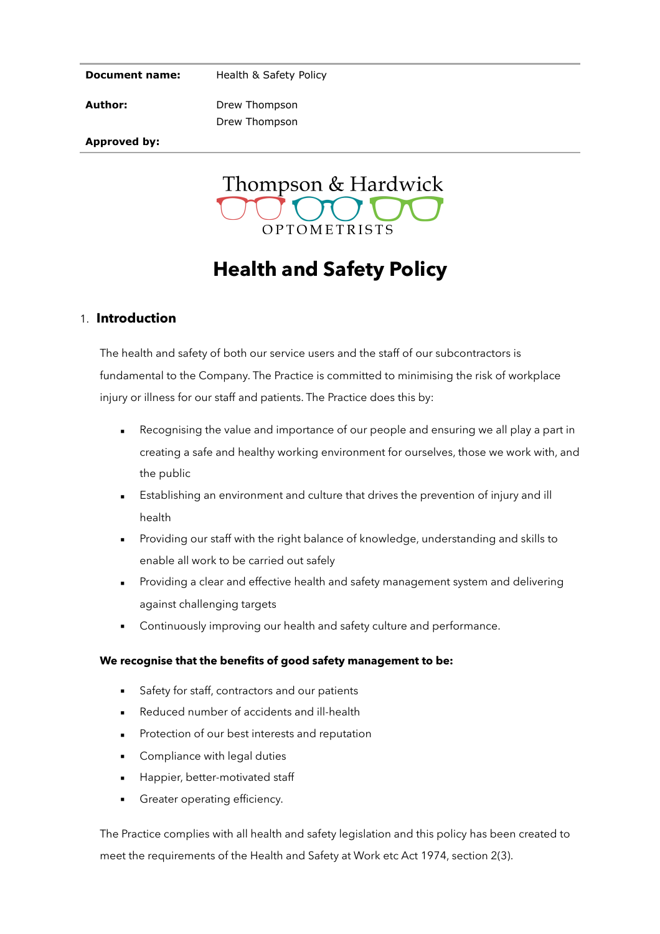#### **Document name:**

Health & Safety Policy

**Author:** 

Drew Thompson Drew Thompson

**Approved by:**



# **Health and Safety Policy**

### 1. **Introduction**

The health and safety of both our service users and the staff of our subcontractors is fundamental to the Company. The Practice is committed to minimising the risk of workplace injury or illness for our staff and patients. The Practice does this by:

- Recognising the value and importance of our people and ensuring we all play a part in creating a safe and healthy working environment for ourselves, those we work with, and the public
- Establishing an environment and culture that drives the prevention of injury and ill health
- Providing our staff with the right balance of knowledge, understanding and skills to enable all work to be carried out safely
- Providing a clear and effective health and safety management system and delivering against challenging targets
- Continuously improving our health and safety culture and performance.

#### **We recognise that the benefits of good safety management to be:**

- Safety for staff, contractors and our patients
- Reduced number of accidents and ill-health
- Protection of our best interests and reputation
- Compliance with legal duties
- Happier, better-motivated staff
- Greater operating efficiency.

The Practice complies with all health and safety legislation and this policy has been created to meet the requirements of the Health and Safety at Work etc Act 1974, section 2(3).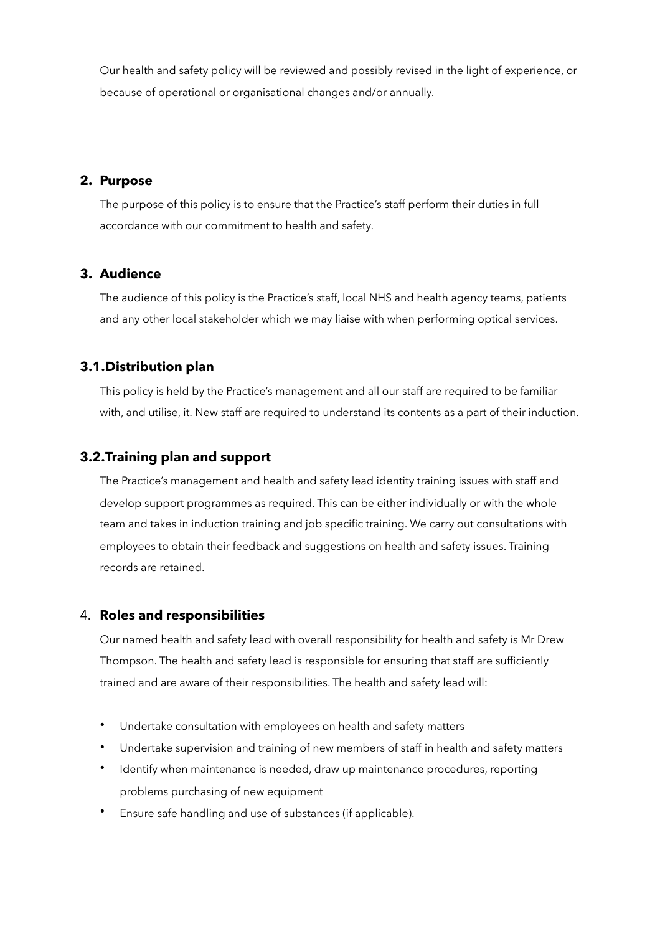Our health and safety policy will be reviewed and possibly revised in the light of experience, or because of operational or organisational changes and/or annually.

### **2. Purpose**

The purpose of this policy is to ensure that the Practice's staff perform their duties in full accordance with our commitment to health and safety.

# **3. Audience**

The audience of this policy is the Practice's staff, local NHS and health agency teams, patients and any other local stakeholder which we may liaise with when performing optical services.

# **3.1.Distribution plan**

This policy is held by the Practice's management and all our staff are required to be familiar with, and utilise, it. New staff are required to understand its contents as a part of their induction.

# **3.2.Training plan and support**

The Practice's management and health and safety lead identity training issues with staff and develop support programmes as required. This can be either individually or with the whole team and takes in induction training and job specific training. We carry out consultations with employees to obtain their feedback and suggestions on health and safety issues. Training records are retained.

#### 4. **Roles and responsibilities**

Our named health and safety lead with overall responsibility for health and safety is Mr Drew Thompson. The health and safety lead is responsible for ensuring that staff are sufficiently trained and are aware of their responsibilities. The health and safety lead will:

- Undertake consultation with employees on health and safety matters
- Undertake supervision and training of new members of staff in health and safety matters
- Identify when maintenance is needed, draw up maintenance procedures, reporting problems purchasing of new equipment
- Ensure safe handling and use of substances (if applicable).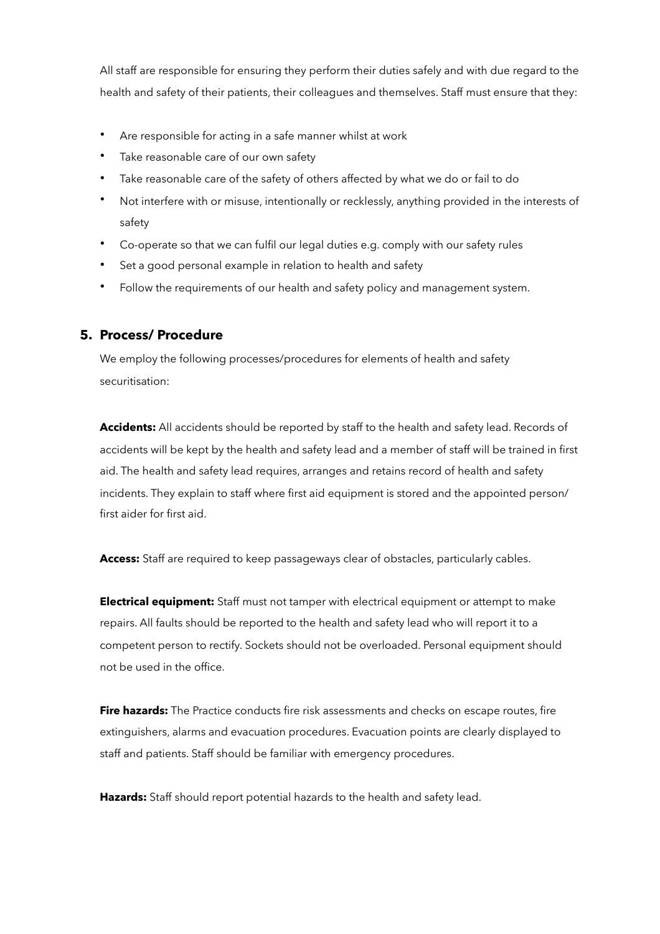All staff are responsible for ensuring they perform their duties safely and with due regard to the health and safety of their patients, their colleagues and themselves. Staff must ensure that they:

- Are responsible for acting in a safe manner whilst at work
- Take reasonable care of our own safety
- Take reasonable care of the safety of others affected by what we do or fail to do
- Not interfere with or misuse, intentionally or recklessly, anything provided in the interests of safety
- Co-operate so that we can fulfil our legal duties e.g. comply with our safety rules
- Set a good personal example in relation to health and safety
- Follow the requirements of our health and safety policy and management system.

# **5. Process/ Procedure**

We employ the following processes/procedures for elements of health and safety securitisation:

**Accidents:** All accidents should be reported by staff to the health and safety lead. Records of accidents will be kept by the health and safety lead and a member of staff will be trained in first aid. The health and safety lead requires, arranges and retains record of health and safety incidents. They explain to staff where first aid equipment is stored and the appointed person/ first aider for first aid.

**Access:** Staff are required to keep passageways clear of obstacles, particularly cables.

**Electrical equipment:** Staff must not tamper with electrical equipment or attempt to make repairs. All faults should be reported to the health and safety lead who will report it to a competent person to rectify. Sockets should not be overloaded. Personal equipment should not be used in the office.

**Fire hazards:** The Practice conducts fire risk assessments and checks on escape routes, fire extinguishers, alarms and evacuation procedures. Evacuation points are clearly displayed to staff and patients. Staff should be familiar with emergency procedures.

**Hazards:** Staff should report potential hazards to the health and safety lead.